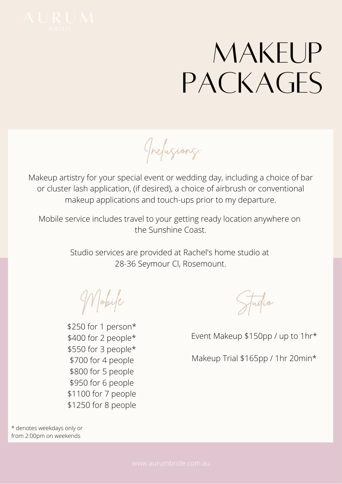

## MAKEUP PACKAGES

Inclusions:

Makeup artistry for your special event or wedding day, including a choice of bar or cluster lash application, (if desired), a choice of airbrush or conventional makeup applications and touch-ups prior to my departure.

Mobile service includes travel to your getting ready location anywhere on the Sunshine Coast.

> Studio services are provided at Rachel's home studio at 28-36 Seymour Cl, Rosemount.

Mobile

\$250 for 1 person\* \$400 for 2 people\* \$550 for 3 people\* \$700 for 4 people \$800 for 5 people \$950 for 6 people \$1100 for 7 people \$1250 for 8 people

Studio

Event Makeup \$150pp / up to 1hr\*

Makeup Trial \$165pp / 1hr 20min\*

\* denotes weekdays only or from 2:00pm on weekends